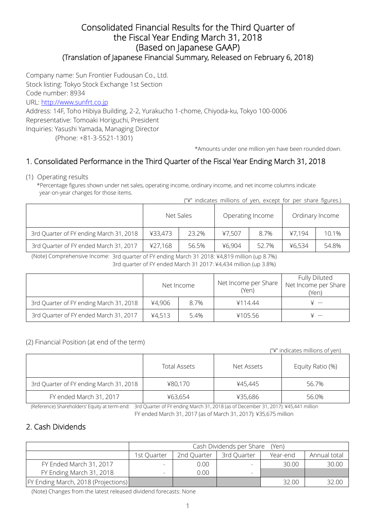### Consolidated Financial Results for the Third Quarter of the Fiscal Year Ending March 31, 2018 (Based on Japanese GAAP) (Translation of Japanese Financial Summary, Released on February 6, 2018)

Company name: Sun Frontier Fudousan Co., Ltd.

Stock listing: Tokyo Stock Exchange 1st Section

Code number: 8934

URL: http://www.sunfrt.co.jp

Address: 14F, Toho Hibiya Building, 2-2, Yurakucho 1-chome, Chiyoda-ku, Tokyo 100-0006 Representative: Tomoaki Horiguchi, President Inquiries: Yasushi Yamada, Managing Director

(Phone: +81-3-5521-1301)

\*Amounts under one million yen have been rounded down.

## 1. Consolidated Performance in the Third Quarter of the Fiscal Year Ending March 31, 2018

### (1) Operating results

\*Percentage figures shown under net sales, operating income, ordinary income, and net income columns indicate year-on-year changes for those items.

("¥" indicates millions of yen, except for per share figures.)

|                                         | Net Sales |       | Operating Income |       | Ordinary Income |       |
|-----------------------------------------|-----------|-------|------------------|-------|-----------------|-------|
| 3rd Quarter of FY ending March 31, 2018 | ¥33.473   | 23.2% | ¥7.507           | 8.7%  | ¥7.194          | 10.1% |
| 3rd Quarter of FY ended March 31, 2017  | ¥27,168   | 56.5% | ¥6.904           | 52.7% | ¥6.534          | 54.8% |

 (Note) Comprehensive Income: 3rd quarter of FY ending March 31 2018: ¥4,819 million (up 8.7%) 3rd quarter of FY ended March 31 2017: ¥4,434 million (up 3.8%)

|                                         | Net Income |      | Net Income per Share<br>(Yen) | Fully Diluted<br>Net Income per Share<br>(Yen) |  |
|-----------------------------------------|------------|------|-------------------------------|------------------------------------------------|--|
| 3rd Quarter of FY ending March 31, 2018 | ¥4,906     | 8.7% | ¥114.44                       |                                                |  |
| 3rd Quarter of FY ended March 31, 2017  | 44,513     | 5.4% | ¥105.56                       |                                                |  |

### (2) Financial Position (at end of the term)

("¥" indicates millions of yen)

|                                         | <b>Total Assets</b> | Net Assets | Equity Ratio (%) |
|-----------------------------------------|---------------------|------------|------------------|
| 3rd Quarter of FY ending March 31, 2018 | ¥80,170             | ¥45.445    | 56.7%            |
| FY ended March 31, 2017                 | ¥63,654             | ¥35,686    | 56.0%            |

(Reference) Shareholders' Equity at term-end: 3rd Quarter of FY ending March 31, 2018 (as of December 31, 2017): ¥45,441 million

# FY ended March 31, 2017 (as of March 31, 2017): ¥35,675 million

## 2. Cash Dividends

|                                            | Cash Dividends per Share<br>(Yen)                                     |      |   |       |       |  |  |
|--------------------------------------------|-----------------------------------------------------------------------|------|---|-------|-------|--|--|
|                                            | 2nd Quarter<br>3rd Quarter<br>Annual total<br>1st Quarter<br>Year-end |      |   |       |       |  |  |
| FY Ended March 31, 2017                    |                                                                       | 0.00 | ۰ | 30.00 | 30.00 |  |  |
| FY Ending March 31, 2018                   |                                                                       | 0.00 | - |       |       |  |  |
| <b>FY Ending March, 2018 (Projections)</b> |                                                                       |      |   | 32.00 | 32.00 |  |  |

(Note) Changes from the latest released dividend forecasts: None